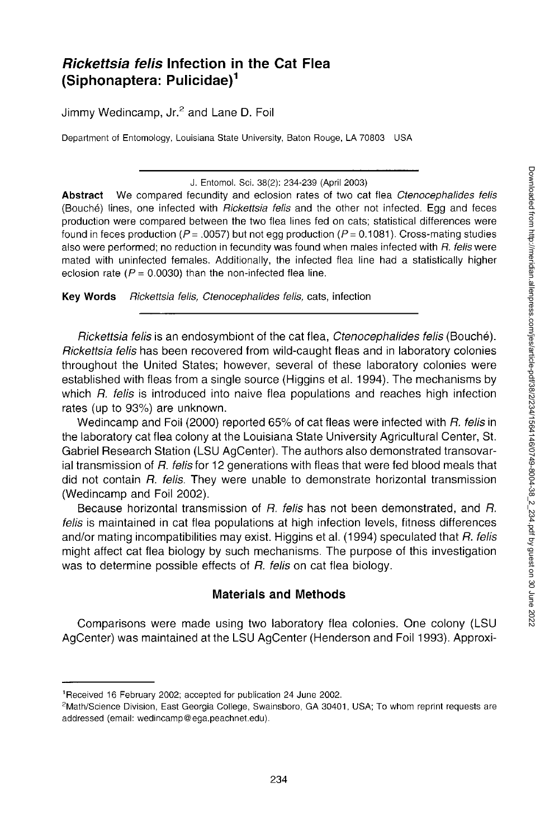# *Rickettsia felis* **Infection in the Cat Flea (Siphonaptera: Pulicidae)<sup>1</sup>**

Jimmy Wedincamp, Jr.<sup>2</sup> and Lane D. Foil

Department of Entomology, Louisiana State University, Baton Rouge, LA 70803 USA

J. Entomol. Sci. 38(2): 234-239 (April 2003)

**Abstract** We compared fecundity and eclosion rates of two cat flea *Ctenocephalides felis*  (Bouche) lines, one infected with *Rickettsia felis* and the other not infected. Egg and feces production were compared between the two flea lines fed on cats; statistical differences were found in feces production ( $P = .0057$ ) but not egg production ( $P = 0.1081$ ). Cross-mating studies also were performed; no reduction in fecundity was found when males infected with *R. felis were*  mated with uninfected females. Additionally, the infected flea line had a statistically higher eclosion rate ( $P = 0.0030$ ) than the non-infected flea line.

**Key Words** *Rickettsia felis, Ctenocephalides felis,* cats, infection

*Rickettsia felis* is an endosymbiont of the cat flea, *Ctenocephalides felis* (Bouche). *Rickettsia felis* has been recovered from wild-caught fleas and in laboratory colonies throughout the United States; however, several of these laboratory colonies were established with fleas from a single source (Higgins et al. 1994). The mechanisms by which *R. felis* is introduced into naive flea populations and reaches high infection rates (up to 93%) are unknown.

Wedincamp and Foil (2000) reported 65% of cat fleas were infected with *R. felis* in the laboratory cat flea colony at the Louisiana State University Agricultural Center, St. Gabriel Research Station (LSU AgCenter). The authors also demonstrated transovarial transmission of *R. felis* for 12 generations with fleas that were fed blood meals that did not contain *R. felis.* They were unable to demonstrate horizontal transmission (Wedincamp and Foil 2002).

Because horizontal transmission of *R. felis* has not been demonstrated, and *R. felis* is maintained in cat flea populations at high infection levels, fitness differences and/or mating incompatibilities may exist. Higgins et al. (1994) speculated that *R. felis*  might affect cat flea biology by such mechanisms. The purpose of this investigation was to determine possible effects of *R. felis* on cat flea biology.

## **Materials and Methods**

Comparisons were made using two laboratory flea colonies. One colony (LSU AgCenter) was maintained at the LSU AgCenter (Henderson and Foil 1993). Approxi-

<sup>1</sup> Received 16 February 2002; accepted for publication 24 June 2002.

<sup>2</sup>Math/Science Division, East Georgia College, Swainsboro, GA 30401, USA; To whom reprint requests are addressed (email: [wedincamp@ega.peachnet.edu\)](mailto:wedincamp@ega.peachnet.edu).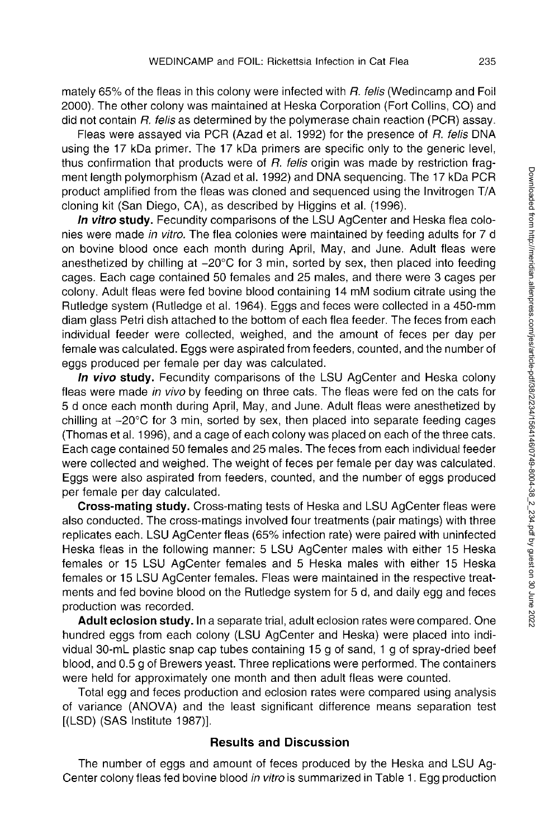mately 65% of the fleas in this colony were infected with *R. felis* (Wedincamp and Foil 2000). The other colony was maintained at Heska Corporation (Fort Collins, CO) and did not contain *R. felis* as determined by the polymerase chain reaction (PCR) assay.

Fleas were assayed via PCR (Azad et al. 1992) for the presence of *R. felis* DNA using the 17 kDa primer. The 17 kDa primers are specific only to the generic level, thus confirmation that products were of *R. felis* origin was made by restriction fragment length polymorphism (Azad et al. 1992) and DNA sequencing. The 17 kDa PCR product amplified from the fleas was cloned and sequenced using the Invitrogen T/A cloning kit (San Diego, CA), as described by Higgins et al. (1996).

*In vitro* **study.** Fecundity comparisons of the LSU AgCenter and Heska flea colonies were made *in vitro.* The flea colonies were maintained by feeding adults for 7 d on bovine blood once each month during April, May, and June. Adult fleas were anesthetized by chilling at -20°C for 3 min, sorted by sex, then placed into feeding cages. Each cage contained 50 females and 25 males, and there were 3 cages per colony. Adult fleas were fed bovine blood containing 14 mM sodium citrate using the Rutledge system (Rutledge et al. 1964). Eggs and feces were collected in a 450-mm diam glass Petri dish attached to the bottom of each flea feeder. The feces from each individual feeder were collected, weighed, and the amount of feces per day per female was calculated. Eggs were aspirated from feeders, counted, and the number of eggs produced per female per day was calculated.

*In vivo* **study.** Fecundity comparisons of the LSU AgCenter and Heska colony fleas were made *in vivo* by feeding on three cats. The fleas were fed on the cats for 5 d once each month during April, May, and June. Adult fleas were anesthetized by chilling at -20°C for 3 min, sorted by sex, then placed into separate feeding cages (Thomas et al. 1996), and a cage of each colony was placed on each of the three cats. Each cage contained 50 females and 25 males. The feces from each individual feeder were collected and weighed. The weight of feces per female per day was calculated. Eggs were also aspirated from feeders, counted, and the number of eggs produced per female per day calculated.

**Cross-mating study.** Cross-mating tests of Heska and LSU AgCenter fleas were also conducted. The cross-matings involved four treatments (pair matings) with three replicates each. LSU AgCenter fleas (65% infection rate) were paired with uninfected Heska fleas in the following manner: 5 LSU AgCenter males with either 15 Heska females or 15 LSU AgCenter females and 5 Heska males with either 15 Heska females or 15 LSU AgCenter females. Fleas were maintained in the respective treatments and fed bovine blood on the Rutledge system for 5 d, and daily egg and feces production was recorded.

**Adult eclosion study.** In a separate trial, adult eclosion rates were compared. One hundred eggs from each colony (LSU AgCenter and Heska) were placed into individual 30-mL plastic snap cap tubes containing 15 g of sand, 1 g of spray-dried beef blood, and 0.5 g of Brewers yeast. Three replications were performed. The containers were held for approximately one month and then adult fleas were counted.

Total egg and feces production and eclosion rates were compared using analysis of variance (ANOVA) and the least significant difference means separation test [(LSD) (SAS Institute 1987)].

### **Results and Discussion**

The number of eggs and amount of feces produced by the Heska and LSU Ag-Center colony fleas fed bovine blood *in vitro* is summarized in Table 1. Egg production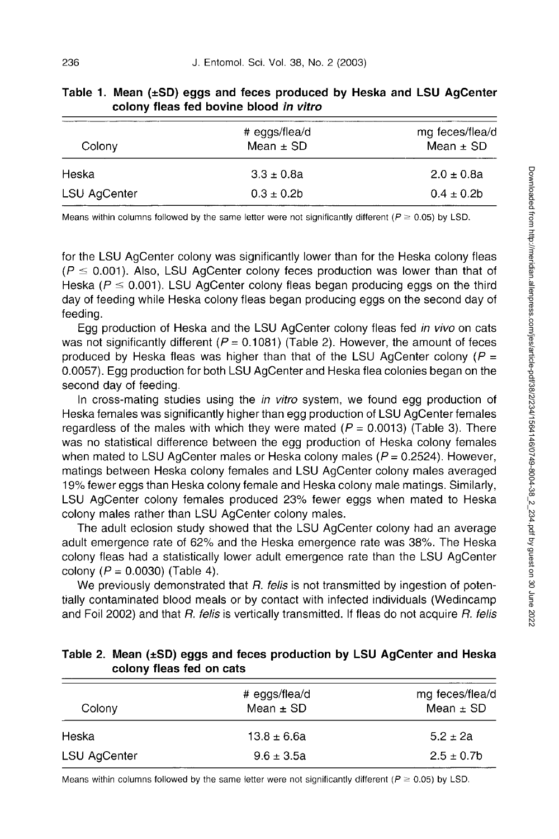| Colony       | # eggs/flea/d<br>Mean $\pm$ SD | mg feces/flea/d<br>Mean $\pm$ SD |
|--------------|--------------------------------|----------------------------------|
| Heska        | $3.3 \pm 0.8a$                 | $2.0 \pm 0.8a$                   |
| LSU AgCenter | $0.3 \pm 0.2b$                 | $0.4 \pm 0.2$ b                  |

| Table 1. Mean $(\pm SD)$ eggs and feces produced by Heska and LSU AgCenter |
|----------------------------------------------------------------------------|
| colony fleas fed bovine blood in vitro                                     |

Means within columns followed by the same letter were not significantly different ( $P \ge 0.05$ ) by LSD.

for the LSU AgCenter colony was significantly lower than for the Heska colony fleas  $(P \le 0.001)$ . Also, LSU AgCenter colony feces production was lower than that of Heska ( $P \le 0.001$ ). LSU AgCenter colony fleas began producing eggs on the third day of feeding while Heska colony fleas began producing eggs on the second day of feeding.

Egg production of Heska and the LSU AgCenter colony fleas fed *in vivo* on cats was not significantly different ( $P = 0.1081$ ) (Table 2). However, the amount of feces produced by Heska fleas was higher than that of the LSU AgCenter colony ( $P =$ 0.0057). Egg production for both LSU AgCenter and Heska flea colonies began on the second day of feeding.

In cross-mating studies using the *in vitro* system, we found egg production of Heska females was significantly higher than egg production of LSU AgCenter females regardless of the males with which they were mated ( $P = 0.0013$ ) (Table 3). There was no statistical difference between the egg production of Heska colony females when mated to LSU AgCenter males or Heska colony males ( $P = 0.2524$ ). However, matings between Heska colony females and LSU AgCenter colony males averaged 19% fewer eggs than Heska colony female and Heska colony male matings. Similarly, LSU AgCenter colony females produced 23% fewer eggs when mated to Heska colony males rather than LSU AgCenter colony males.

The adult eclosion study showed that the LSU AgCenter colony had an average adult emergence rate of 62% and the Heska emergence rate was 38%. The Heska colony fleas had a statistically lower adult emergence rate than the LSU AgCenter colony ( $P = 0.0030$ ) (Table 4).

We previously demonstrated that *R. feiis* is not transmitted by ingestion of potentially contaminated blood meals or by contact with infected individuals (Wedincamp and Foil 2002) and that *R. feiis* is vertically transmitted. If fleas do not acquire *R. feiis* 

#### **Table 2. Mean (±SD) eggs and feces production by LSU AgCenter and Heska colony fleas fed on cats**

| Colony              | # eggs/flea/d<br>Mean $\pm$ SD | mg feces/flea/d<br>Mean $\pm$ SD |
|---------------------|--------------------------------|----------------------------------|
| Heska               | $13.8 \pm 6.6a$                | $5.2 + 2a$                       |
| <b>LSU AgCenter</b> | $9.6 \pm 3.5a$                 | $2.5 \pm 0.7$ b                  |

Means within columns followed by the same letter were not significantly different ( $P \ge 0.05$ ) by LSD.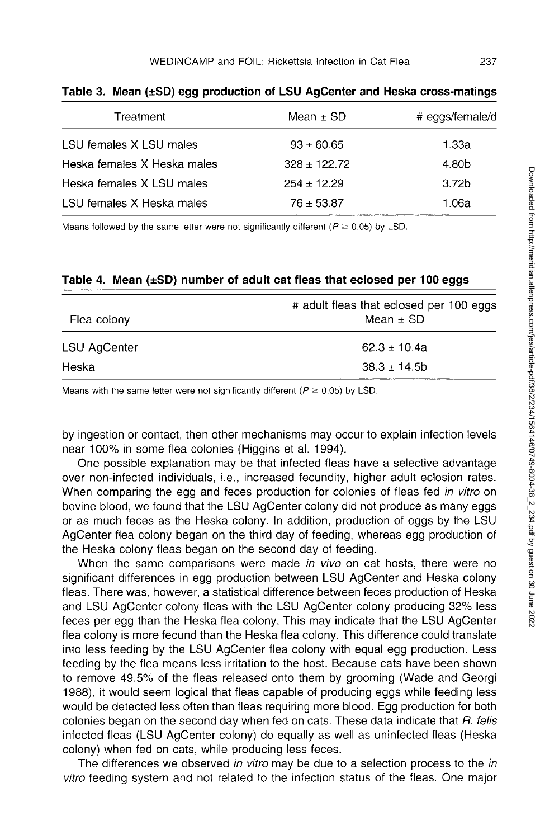| Treatment                   | Mean $\pm$ SD   | # eggs/female/d   |
|-----------------------------|-----------------|-------------------|
| LSU females X LSU males     | $93 \pm 60.65$  | 1.33a             |
| Heska females X Heska males | $328 + 122.72$  | 4.80b             |
| Heska females X LSU males   | $254 \pm 12.29$ | 3.72 <sub>b</sub> |
| LSU females X Heska males   | $76 + 53.87$    | 1.06a             |

**Table 3. Mean (±SD) egg production of LSU AgCenter and Heska cross-matings** 

Means followed by the same letter were not significantly different ( $P \ge 0.05$ ) by LSD.

#### **Table 4. Mean (±SD) number of adult cat fleas that eclosed per 100 eggs**

| Flea colony  | # adult fleas that eclosed per 100 eggs<br>Mean $\pm$ SD |
|--------------|----------------------------------------------------------|
| LSU AgCenter | $62.3 \pm 10.4a$                                         |
| Heska        | $38.3 \pm 14.5$ b                                        |

Means with the same letter were not significantly different ( $P \ge 0.05$ ) by LSD.

by ingestion or contact, then other mechanisms may occur to explain infection levels near 100% in some flea colonies (Higgins et al. 1994).

One possible explanation may be that infected fleas have a selective advantage over non-infected individuals, i.e., increased fecundity, higher adult eclosion rates. When comparing the egg and feces production for colonies of fleas fed *in vitro* on bovine blood, we found that the LSU AgCenter colony did not produce as many eggs or as much feces as the Heska colony. In addition, production of eggs by the LSU AgCenter flea colony began on the third day of feeding, whereas egg production of the Heska colony fleas began on the second day of feeding.

When the same comparisons were made *in vivo* on cat hosts, there were no significant differences in egg production between LSU AgCenter and Heska colony fleas. There was, however, a statistical difference between feces production of Heska and LSU AgCenter colony fleas with the LSU AgCenter colony producing 32% less feces per egg than the Heska flea colony. This may indicate that the LSU AgCenter flea colony is more fecund than the Heska flea colony. This difference could translate into less feeding by the LSU AgCenter flea colony with equal egg production. Less feeding by the flea means less irritation to the host. Because cats have been shown to remove 49.5% of the fleas released onto them by grooming (Wade and Georgi 1988), it would seem logical that fleas capable of producing eggs while feeding less would be detected less often than fleas requiring more blood. Egg production for both colonies began on the second day when fed on cats. These data indicate that *R. felis*  infected fleas (LSU AgCenter colony) do equally as well as uninfected fleas (Heska colony) when fed on cats, while producing less feces.

The differences we observed *in vitro* may be due to a selection process to the *in vitro* feeding system and not related to the infection status of the fleas. One major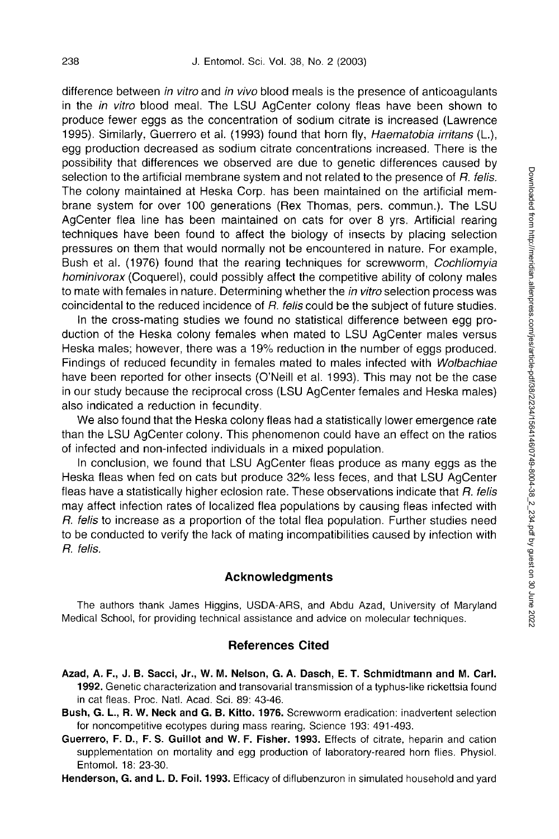difference between *in vitro* and *in vivo* blood meals is the presence of anticoagulants in the *in vitro* blood meal. The LSU AgCenter colony fleas have been shown to produce fewer eggs as the concentration of sodium citrate is increased (Lawrence 1995). Similarly, Guerrero et al. (1993) found that horn fly, *Haematobia irritans* (L.), egg production decreased as sodium citrate concentrations increased. There is the possibility that differences we observed are due to genetic differences caused by selection to the artificial membrane system and not related to the presence of *R. felis.*  The colony maintained at Heska Corp. has been maintained on the artificial membrane system for over 100 generations (Rex Thomas, pers. commun.). The LSU AgCenter flea line has been maintained on cats for over 8 yrs. Artificial rearing techniques have been found to affect the biology of insects by placing selection pressures on them that would normally not be encountered in nature. For example, Bush et al. (1976) found that the rearing techniques for screwworm, *Cochliomyia hominivorax* (Coquerel), could possibly affect the competitive ability of colony males to mate with females in nature. Determining whether the *in vitro* selection process was coincidental to the reduced incidence of *R. felis* could be the subject of future studies.

In the cross-mating studies we found no statistical difference between egg production of the Heska colony females when mated to LSU AgCenter males versus Heska males; however, there was a 19% reduction in the number of eggs produced. Findings of reduced fecundity in females mated to males infected with *Wolbachiae*  have been reported for other insects (O'Neill et al. 1993). This may not be the case in our study because the reciprocal cross (LSU AgCenter females and Heska males) also indicated a reduction in fecundity.

We also found that the Heska colony fleas had a statistically lower emergence rate than the LSU AgCenter colony. This phenomenon could have an effect on the ratios of infected and non-infected individuals in a mixed population.

In conclusion, we found that LSU AgCenter fleas produce as many eggs as the Heska fleas when fed on cats but produce 32% less feces, and that LSU AgCenter fleas have a statistically higher eclosion rate. These observations indicate that *R. felis*  may affect infection rates of localized flea populations by causing fleas infected with *R. felis* to increase as a proportion of the total flea population. Further studies need to be conducted to verify the lack of mating incompatibilities caused by infection with *R. felis.* 

#### **Acknowledgments**

The authors thank James Higgins, USDA-ARS, and Abdu Azad, University of Maryland Medical School, for providing technical assistance and advice on molecular techniques.

#### **References Cited**

- **Azad, A. F., J. B. Sacci, Jr., W. M. Nelson, G. A. Dasch, E. T. Schmidtmann and M. Carl. 1992.** Genetic characterization and transovarial transmission of a typhus-like rickettsia found in cat fleas. Proc. Natl. Acad. Sci. 89: 43-46.
- **Bush, G. L., R. W. Neck and G. B. Kitto. 1976.** Screwworm eradication: inadvertent selection for noncompetitive ecotypes during mass rearing. Science 193: 491-493.
- **Guerrero, F. D., F. S. Guillot and W. F. Fisher. 1993.** Effects of citrate, heparin and cation supplementation on mortality and egg production of laboratory-reared horn flies. Physiol. Entomol. 18: 23-30.

**Henderson, G. and L. D. Foil. 1993.** Efficacy of diflubenzuron in simulated household and yard